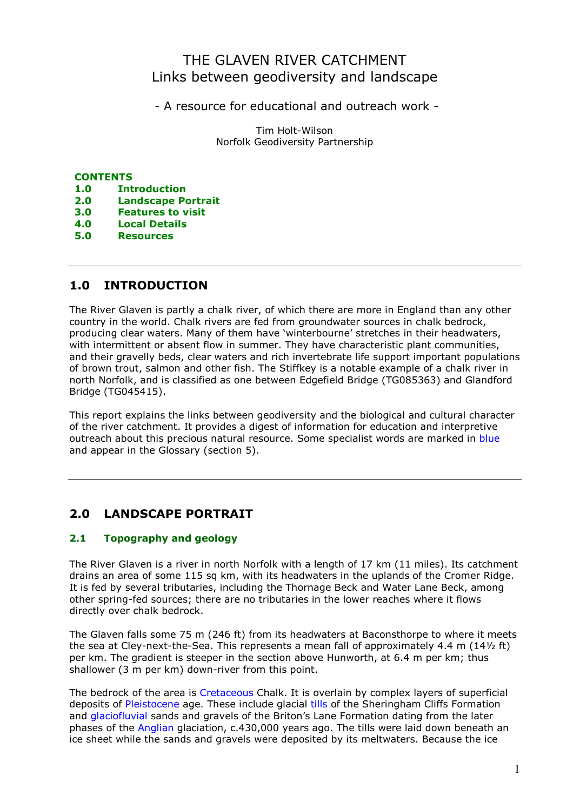## THE GLAVEN RIVER CATCHMENT Links between geodiversity and landscape

- A resource for educational and outreach work -

Tim Holt-Wilson Norfolk Geodiversity Partnership

### **CONTENTS**

- 1.0 Introduction
- 2.0 Landscape Portrait
- 3.0 Features to visit
- 4.0 Local Details
- 5.0 Resources

## 1.0 INTRODUCTION

The River Glaven is partly a chalk river, of which there are more in England than any other country in the world. Chalk rivers are fed from groundwater sources in chalk bedrock, producing clear waters. Many of them have 'winterbourne' stretches in their headwaters, with intermittent or absent flow in summer. They have characteristic plant communities, and their gravelly beds, clear waters and rich invertebrate life support important populations of brown trout, salmon and other fish. The Stiffkey is a notable example of a chalk river in north Norfolk, and is classified as one between Edgefield Bridge (TG085363) and Glandford Bridge (TG045415).

This report explains the links between geodiversity and the biological and cultural character of the river catchment. It provides a digest of information for education and interpretive outreach about this precious natural resource. Some specialist words are marked in blue and appear in the Glossary (section 5).

## 2.0 LANDSCAPE PORTRAIT

## 2.1 Topography and geology

The River Glaven is a river in north Norfolk with a length of 17 km (11 miles). Its catchment drains an area of some 115 sq km, with its headwaters in the uplands of the Cromer Ridge. It is fed by several tributaries, including the Thornage Beck and Water Lane Beck, among other spring-fed sources; there are no tributaries in the lower reaches where it flows directly over chalk bedrock.

The Glaven falls some 75 m (246 ft) from its headwaters at Baconsthorpe to where it meets the sea at Cley-next-the-Sea. This represents a mean fall of approximately 4.4 m (14½ ft) per km. The gradient is steeper in the section above Hunworth, at 6.4 m per km; thus shallower (3 m per km) down-river from this point.

The bedrock of the area is Cretaceous Chalk. It is overlain by complex layers of superficial deposits of Pleistocene age. These include glacial tills of the Sheringham Cliffs Formation and glaciofluvial sands and gravels of the Briton's Lane Formation dating from the later phases of the Anglian glaciation, c.430,000 years ago. The tills were laid down beneath an ice sheet while the sands and gravels were deposited by its meltwaters. Because the ice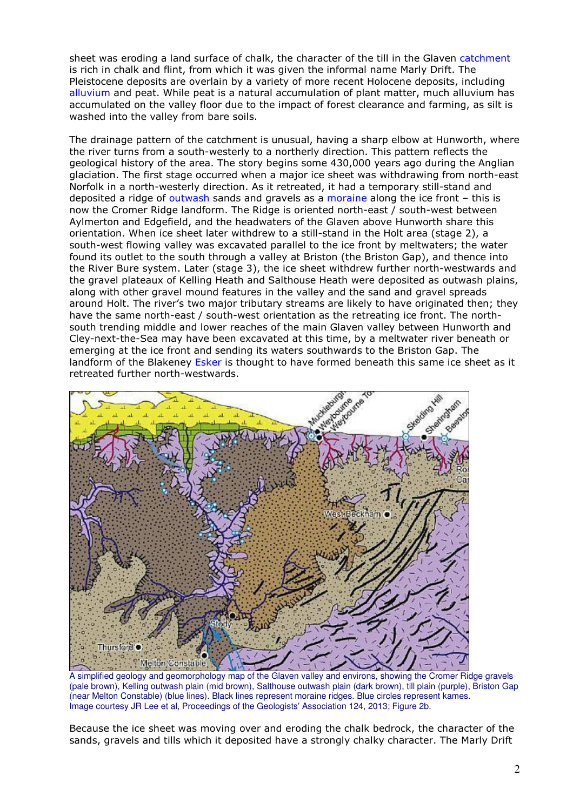sheet was eroding a land surface of chalk, the character of the till in the Glaven catchment is rich in chalk and flint, from which it was given the informal name Marly Drift. The Pleistocene deposits are overlain by a variety of more recent Holocene deposits, including alluvium and peat. While peat is a natural accumulation of plant matter, much alluvium has accumulated on the valley floor due to the impact of forest clearance and farming, as silt is washed into the valley from bare soils.

The drainage pattern of the catchment is unusual, having a sharp elbow at Hunworth, where the river turns from a south-westerly to a northerly direction. This pattern reflects the geological history of the area. The story begins some 430,000 years ago during the Anglian glaciation. The first stage occurred when a major ice sheet was withdrawing from north-east Norfolk in a north-westerly direction. As it retreated, it had a temporary still-stand and deposited a ridge of outwash sands and gravels as a moraine along the ice front – this is now the Cromer Ridge landform. The Ridge is oriented north-east / south-west between Aylmerton and Edgefield, and the headwaters of the Glaven above Hunworth share this orientation. When ice sheet later withdrew to a still-stand in the Holt area (stage 2), a south-west flowing valley was excavated parallel to the ice front by meltwaters; the water found its outlet to the south through a valley at Briston (the Briston Gap), and thence into the River Bure system. Later (stage 3), the ice sheet withdrew further north-westwards and the gravel plateaux of Kelling Heath and Salthouse Heath were deposited as outwash plains, along with other gravel mound features in the valley and the sand and gravel spreads around Holt. The river's two major tributary streams are likely to have originated then; they have the same north-east / south-west orientation as the retreating ice front. The northsouth trending middle and lower reaches of the main Glaven valley between Hunworth and Cley-next-the-Sea may have been excavated at this time, by a meltwater river beneath or emerging at the ice front and sending its waters southwards to the Briston Gap. The landform of the Blakeney Esker is thought to have formed beneath this same ice sheet as it retreated further north-westwards.



A simplified geology and geomorphology map of the Glaven valley and environs, showing the Cromer Ridge gravels (pale brown), Kelling outwash plain (mid brown), Salthouse outwash plain (dark brown), till plain (purple), Briston Gap (near Melton Constable) (blue lines). Black lines represent moraine ridges. Blue circles represent kames. Image courtesy JR Lee et al, Proceedings of the Geologists' Association 124, 2013; Figure 2b.

Because the ice sheet was moving over and eroding the chalk bedrock, the character of the sands, gravels and tills which it deposited have a strongly chalky character. The Marly Drift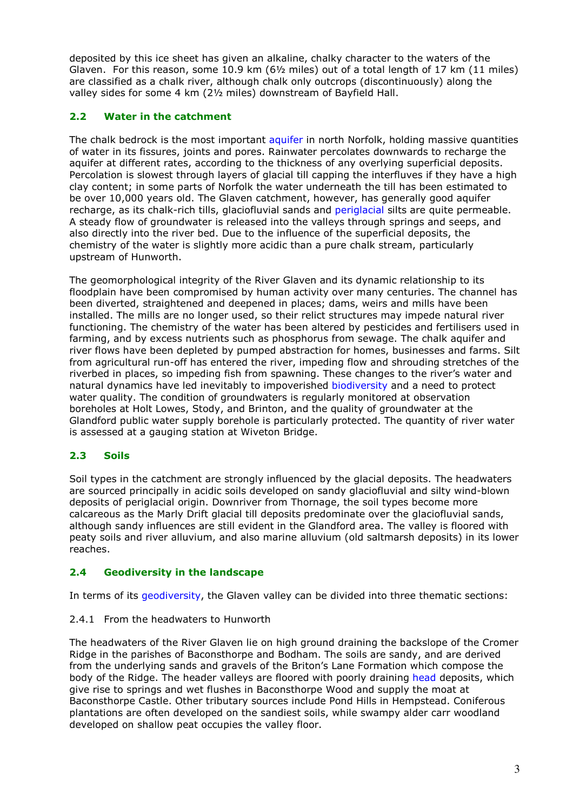deposited by this ice sheet has given an alkaline, chalky character to the waters of the Glaven. For this reason, some 10.9 km (6½ miles) out of a total length of 17 km (11 miles) are classified as a chalk river, although chalk only outcrops (discontinuously) along the valley sides for some 4 km (2½ miles) downstream of Bayfield Hall.

## 2.2 Water in the catchment

The chalk bedrock is the most important aquifer in north Norfolk, holding massive quantities of water in its fissures, joints and pores. Rainwater percolates downwards to recharge the aquifer at different rates, according to the thickness of any overlying superficial deposits. Percolation is slowest through layers of glacial till capping the interfluves if they have a high clay content; in some parts of Norfolk the water underneath the till has been estimated to be over 10,000 years old. The Glaven catchment, however, has generally good aquifer recharge, as its chalk-rich tills, glaciofluvial sands and periglacial silts are quite permeable. A steady flow of groundwater is released into the valleys through springs and seeps, and also directly into the river bed. Due to the influence of the superficial deposits, the chemistry of the water is slightly more acidic than a pure chalk stream, particularly upstream of Hunworth.

The geomorphological integrity of the River Glaven and its dynamic relationship to its floodplain have been compromised by human activity over many centuries. The channel has been diverted, straightened and deepened in places; dams, weirs and mills have been installed. The mills are no longer used, so their relict structures may impede natural river functioning. The chemistry of the water has been altered by pesticides and fertilisers used in farming, and by excess nutrients such as phosphorus from sewage. The chalk aquifer and river flows have been depleted by pumped abstraction for homes, businesses and farms. Silt from agricultural run-off has entered the river, impeding flow and shrouding stretches of the riverbed in places, so impeding fish from spawning. These changes to the river's water and natural dynamics have led inevitably to impoverished biodiversity and a need to protect water quality. The condition of groundwaters is regularly monitored at observation boreholes at Holt Lowes, Stody, and Brinton, and the quality of groundwater at the Glandford public water supply borehole is particularly protected. The quantity of river water is assessed at a gauging station at Wiveton Bridge.

## 2.3 Soils

Soil types in the catchment are strongly influenced by the glacial deposits. The headwaters are sourced principally in acidic soils developed on sandy glaciofluvial and silty wind-blown deposits of periglacial origin. Downriver from Thornage, the soil types become more calcareous as the Marly Drift glacial till deposits predominate over the glaciofluvial sands, although sandy influences are still evident in the Glandford area. The valley is floored with peaty soils and river alluvium, and also marine alluvium (old saltmarsh deposits) in its lower reaches.

## 2.4 Geodiversity in the landscape

In terms of its geodiversity, the Glaven valley can be divided into three thematic sections:

## 2.4.1 From the headwaters to Hunworth

The headwaters of the River Glaven lie on high ground draining the backslope of the Cromer Ridge in the parishes of Baconsthorpe and Bodham. The soils are sandy, and are derived from the underlying sands and gravels of the Briton's Lane Formation which compose the body of the Ridge. The header valleys are floored with poorly draining head deposits, which give rise to springs and wet flushes in Baconsthorpe Wood and supply the moat at Baconsthorpe Castle. Other tributary sources include Pond Hills in Hempstead. Coniferous plantations are often developed on the sandiest soils, while swampy alder carr woodland developed on shallow peat occupies the valley floor.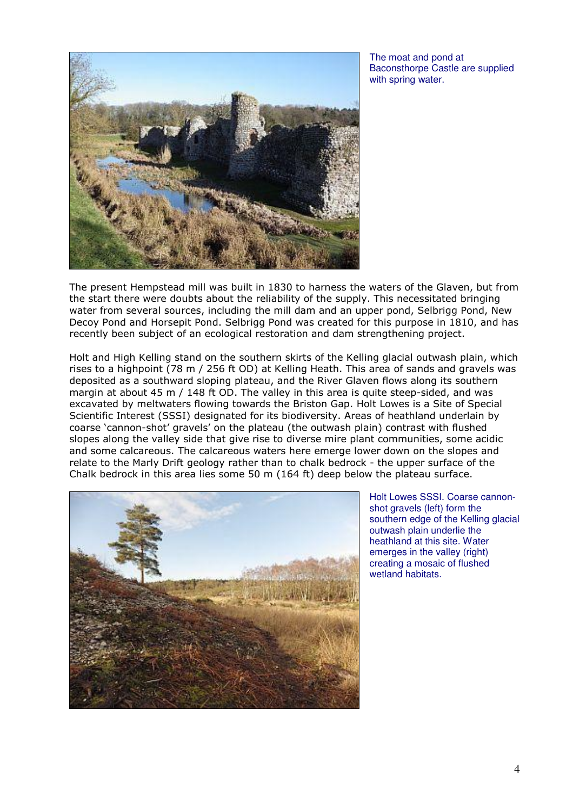

The moat and pond at Baconsthorpe Castle are supplied with spring water.

The present Hempstead mill was built in 1830 to harness the waters of the Glaven, but from the start there were doubts about the reliability of the supply. This necessitated bringing water from several sources, including the mill dam and an upper pond, Selbrigg Pond, New Decoy Pond and Horsepit Pond. Selbrigg Pond was created for this purpose in 1810, and has recently been subject of an ecological restoration and dam strengthening project.

Holt and High Kelling stand on the southern skirts of the Kelling glacial outwash plain, which rises to a highpoint (78 m / 256 ft OD) at Kelling Heath. This area of sands and gravels was deposited as a southward sloping plateau, and the River Glaven flows along its southern margin at about 45 m / 148 ft OD. The valley in this area is quite steep-sided, and was excavated by meltwaters flowing towards the Briston Gap. Holt Lowes is a Site of Special Scientific Interest (SSSI) designated for its biodiversity. Areas of heathland underlain by coarse 'cannon-shot' gravels' on the plateau (the outwash plain) contrast with flushed slopes along the valley side that give rise to diverse mire plant communities, some acidic and some calcareous. The calcareous waters here emerge lower down on the slopes and relate to the Marly Drift geology rather than to chalk bedrock - the upper surface of the Chalk bedrock in this area lies some 50 m (164 ft) deep below the plateau surface.



Holt Lowes SSSI. Coarse cannonshot gravels (left) form the southern edge of the Kelling glacial outwash plain underlie the heathland at this site. Water emerges in the valley (right) creating a mosaic of flushed wetland habitats.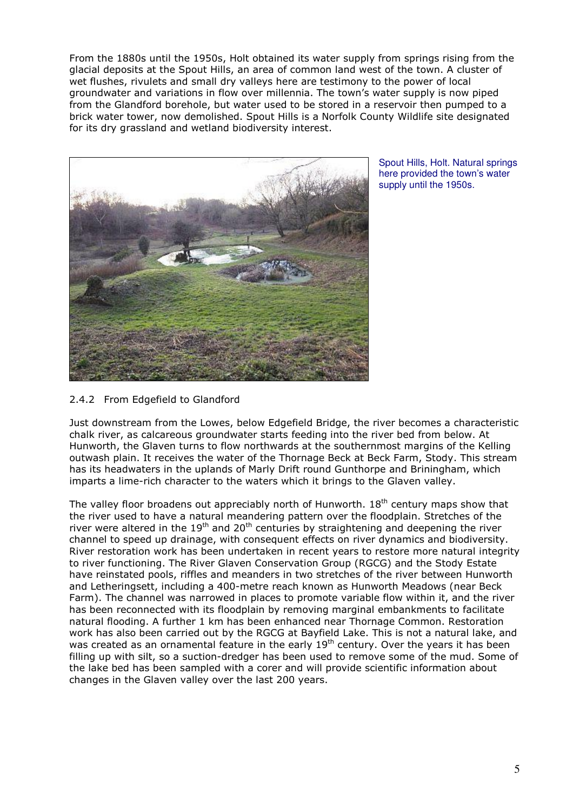From the 1880s until the 1950s, Holt obtained its water supply from springs rising from the glacial deposits at the Spout Hills, an area of common land west of the town. A cluster of wet flushes, rivulets and small dry valleys here are testimony to the power of local groundwater and variations in flow over millennia. The town's water supply is now piped from the Glandford borehole, but water used to be stored in a reservoir then pumped to a brick water tower, now demolished. Spout Hills is a Norfolk County Wildlife site designated for its dry grassland and wetland biodiversity interest.



Spout Hills, Holt. Natural springs here provided the town's water supply until the 1950s.

## 2.4.2 From Edgefield to Glandford

Just downstream from the Lowes, below Edgefield Bridge, the river becomes a characteristic chalk river, as calcareous groundwater starts feeding into the river bed from below. At Hunworth, the Glaven turns to flow northwards at the southernmost margins of the Kelling outwash plain. It receives the water of the Thornage Beck at Beck Farm, Stody. This stream has its headwaters in the uplands of Marly Drift round Gunthorpe and Briningham, which imparts a lime-rich character to the waters which it brings to the Glaven valley.

The valley floor broadens out appreciably north of Hunworth.  $18<sup>th</sup>$  century maps show that the river used to have a natural meandering pattern over the floodplain. Stretches of the river were altered in the  $19<sup>th</sup>$  and  $20<sup>th</sup>$  centuries by straightening and deepening the river channel to speed up drainage, with consequent effects on river dynamics and biodiversity. River restoration work has been undertaken in recent years to restore more natural integrity to river functioning. The River Glaven Conservation Group (RGCG) and the Stody Estate have reinstated pools, riffles and meanders in two stretches of the river between Hunworth and Letheringsett, including a 400-metre reach known as Hunworth Meadows (near Beck Farm). The channel was narrowed in places to promote variable flow within it, and the river has been reconnected with its floodplain by removing marginal embankments to facilitate natural flooding. A further 1 km has been enhanced near Thornage Common. Restoration work has also been carried out by the RGCG at Bayfield Lake. This is not a natural lake, and was created as an ornamental feature in the early 19<sup>th</sup> century. Over the years it has been filling up with silt, so a suction-dredger has been used to remove some of the mud. Some of the lake bed has been sampled with a corer and will provide scientific information about changes in the Glaven valley over the last 200 years.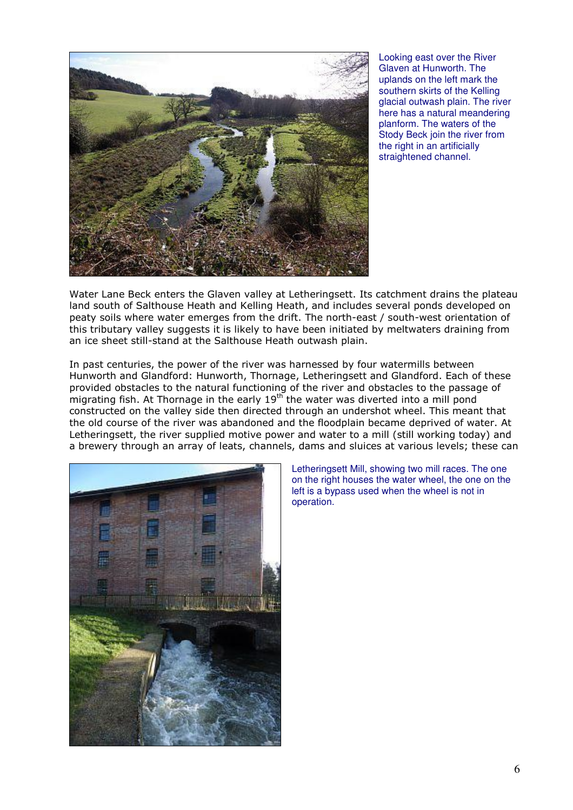

Looking east over the River Glaven at Hunworth. The uplands on the left mark the southern skirts of the Kelling glacial outwash plain. The river here has a natural meandering planform. The waters of the Stody Beck join the river from the right in an artificially straightened channel.

Water Lane Beck enters the Glaven valley at Letheringsett. Its catchment drains the plateau land south of Salthouse Heath and Kelling Heath, and includes several ponds developed on peaty soils where water emerges from the drift. The north-east / south-west orientation of this tributary valley suggests it is likely to have been initiated by meltwaters draining from an ice sheet still-stand at the Salthouse Heath outwash plain.

In past centuries, the power of the river was harnessed by four watermills between Hunworth and Glandford: Hunworth, Thornage, Letheringsett and Glandford. Each of these provided obstacles to the natural functioning of the river and obstacles to the passage of migrating fish. At Thornage in the early 19<sup>th</sup> the water was diverted into a mill pond constructed on the valley side then directed through an undershot wheel. This meant that the old course of the river was abandoned and the floodplain became deprived of water. At Letheringsett, the river supplied motive power and water to a mill (still working today) and a brewery through an array of leats, channels, dams and sluices at various levels; these can



Letheringsett Mill, showing two mill races. The one on the right houses the water wheel, the one on the left is a bypass used when the wheel is not in operation.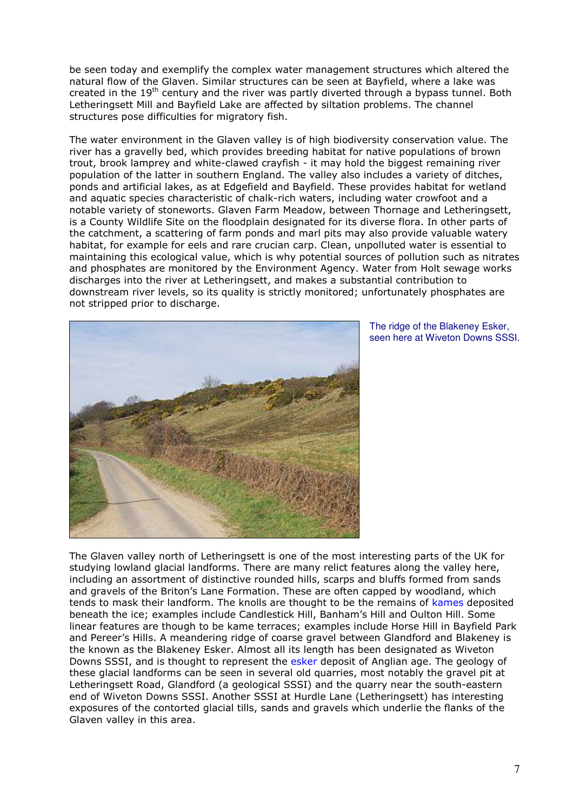be seen today and exemplify the complex water management structures which altered the natural flow of the Glaven. Similar structures can be seen at Bayfield, where a lake was created in the  $19<sup>th</sup>$  century and the river was partly diverted through a bypass tunnel. Both Letheringsett Mill and Bayfield Lake are affected by siltation problems. The channel structures pose difficulties for migratory fish.

The water environment in the Glaven valley is of high biodiversity conservation value. The river has a gravelly bed, which provides breeding habitat for native populations of brown trout, brook lamprey and white-clawed crayfish - it may hold the biggest remaining river population of the latter in southern England. The valley also includes a variety of ditches, ponds and artificial lakes, as at Edgefield and Bayfield. These provides habitat for wetland and aquatic species characteristic of chalk-rich waters, including water crowfoot and a notable variety of stoneworts. Glaven Farm Meadow, between Thornage and Letheringsett, is a County Wildlife Site on the floodplain designated for its diverse flora. In other parts of the catchment, a scattering of farm ponds and marl pits may also provide valuable watery habitat, for example for eels and rare crucian carp. Clean, unpolluted water is essential to maintaining this ecological value, which is why potential sources of pollution such as nitrates and phosphates are monitored by the Environment Agency. Water from Holt sewage works discharges into the river at Letheringsett, and makes a substantial contribution to downstream river levels, so its quality is strictly monitored; unfortunately phosphates are not stripped prior to discharge.



The ridge of the Blakeney Esker, seen here at Wiveton Downs SSSI.

The Glaven valley north of Letheringsett is one of the most interesting parts of the UK for studying lowland glacial landforms. There are many relict features along the valley here, including an assortment of distinctive rounded hills, scarps and bluffs formed from sands and gravels of the Briton's Lane Formation. These are often capped by woodland, which tends to mask their landform. The knolls are thought to be the remains of kames deposited beneath the ice; examples include Candlestick Hill, Banham's Hill and Oulton Hill. Some linear features are though to be kame terraces; examples include Horse Hill in Bayfield Park and Pereer's Hills. A meandering ridge of coarse gravel between Glandford and Blakeney is the known as the Blakeney Esker. Almost all its length has been designated as Wiveton Downs SSSI, and is thought to represent the esker deposit of Anglian age. The geology of these glacial landforms can be seen in several old quarries, most notably the gravel pit at Letheringsett Road, Glandford (a geological SSSI) and the quarry near the south-eastern end of Wiveton Downs SSSI. Another SSSI at Hurdle Lane (Letheringsett) has interesting exposures of the contorted glacial tills, sands and gravels which underlie the flanks of the Glaven valley in this area.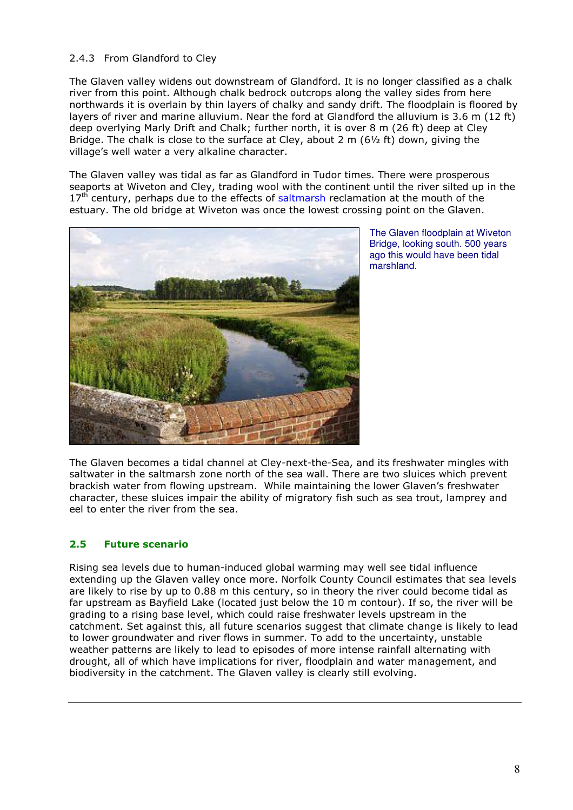## 2.4.3 From Glandford to Cley

The Glaven valley widens out downstream of Glandford. It is no longer classified as a chalk river from this point. Although chalk bedrock outcrops along the valley sides from here northwards it is overlain by thin layers of chalky and sandy drift. The floodplain is floored by layers of river and marine alluvium. Near the ford at Glandford the alluvium is 3.6 m (12 ft) deep overlying Marly Drift and Chalk; further north, it is over 8 m (26 ft) deep at Cley Bridge. The chalk is close to the surface at Cley, about 2 m  $(6\frac{1}{2})$  ft) down, giving the village's well water a very alkaline character.

The Glaven valley was tidal as far as Glandford in Tudor times. There were prosperous seaports at Wiveton and Cley, trading wool with the continent until the river silted up in the  $17<sup>th</sup>$  century, perhaps due to the effects of saltmarsh reclamation at the mouth of the estuary. The old bridge at Wiveton was once the lowest crossing point on the Glaven.



The Glaven floodplain at Wiveton Bridge, looking south. 500 years ago this would have been tidal marshland.

The Glaven becomes a tidal channel at Cley-next-the-Sea, and its freshwater mingles with saltwater in the saltmarsh zone north of the sea wall. There are two sluices which prevent brackish water from flowing upstream. While maintaining the lower Glaven's freshwater character, these sluices impair the ability of migratory fish such as sea trout, lamprey and eel to enter the river from the sea.

## 2.5 Future scenario

Rising sea levels due to human-induced global warming may well see tidal influence extending up the Glaven valley once more. Norfolk County Council estimates that sea levels are likely to rise by up to 0.88 m this century, so in theory the river could become tidal as far upstream as Bayfield Lake (located just below the 10 m contour). If so, the river will be grading to a rising base level, which could raise freshwater levels upstream in the catchment. Set against this, all future scenarios suggest that climate change is likely to lead to lower groundwater and river flows in summer. To add to the uncertainty, unstable weather patterns are likely to lead to episodes of more intense rainfall alternating with drought, all of which have implications for river, floodplain and water management, and biodiversity in the catchment. The Glaven valley is clearly still evolving.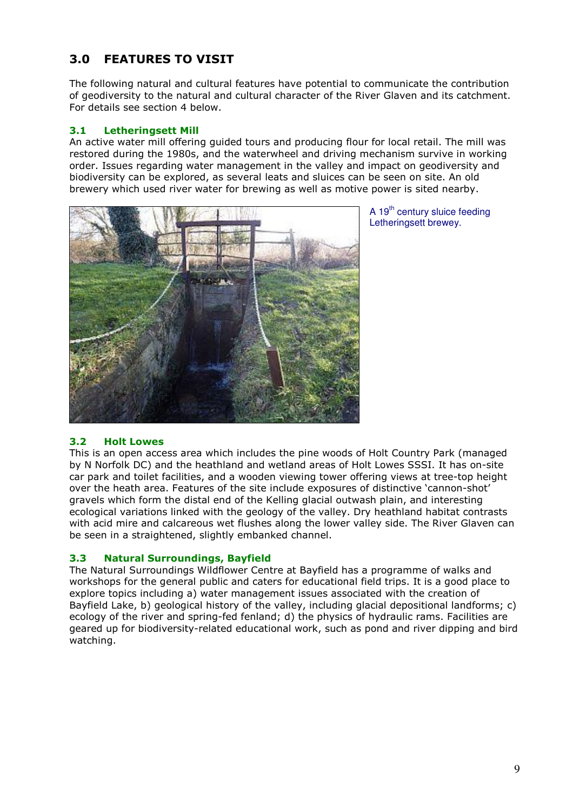## 3.0 FEATURES TO VISIT

The following natural and cultural features have potential to communicate the contribution of geodiversity to the natural and cultural character of the River Glaven and its catchment. For details see section 4 below.

## 3.1 Letheringsett Mill

An active water mill offering guided tours and producing flour for local retail. The mill was restored during the 1980s, and the waterwheel and driving mechanism survive in working order. Issues regarding water management in the valley and impact on geodiversity and biodiversity can be explored, as several leats and sluices can be seen on site. An old brewery which used river water for brewing as well as motive power is sited nearby.



A 19<sup>th</sup> century sluice feeding Letheringsett brewey.

## 3.2 Holt Lowes

This is an open access area which includes the pine woods of Holt Country Park (managed by N Norfolk DC) and the heathland and wetland areas of Holt Lowes SSSI. It has on-site car park and toilet facilities, and a wooden viewing tower offering views at tree-top height over the heath area. Features of the site include exposures of distinctive 'cannon-shot' gravels which form the distal end of the Kelling glacial outwash plain, and interesting ecological variations linked with the geology of the valley. Dry heathland habitat contrasts with acid mire and calcareous wet flushes along the lower valley side. The River Glaven can be seen in a straightened, slightly embanked channel.

## 3.3 Natural Surroundings, Bayfield

The Natural Surroundings Wildflower Centre at Bayfield has a programme of walks and workshops for the general public and caters for educational field trips. It is a good place to explore topics including a) water management issues associated with the creation of Bayfield Lake, b) geological history of the valley, including glacial depositional landforms; c) ecology of the river and spring-fed fenland; d) the physics of hydraulic rams. Facilities are geared up for biodiversity-related educational work, such as pond and river dipping and bird watching.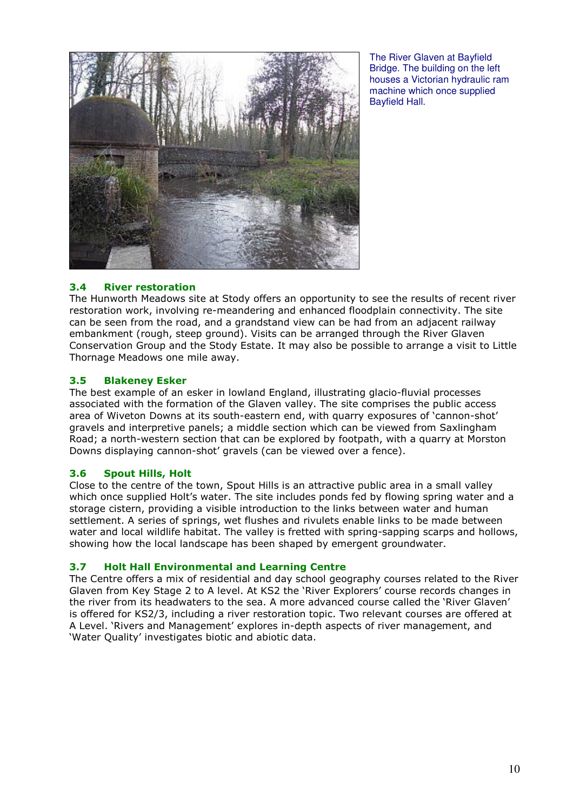

The River Glaven at Bayfield Bridge. The building on the left houses a Victorian hydraulic ram machine which once supplied Bayfield Hall.

#### 3.4 River restoration

The Hunworth Meadows site at Stody offers an opportunity to see the results of recent river restoration work, involving re-meandering and enhanced floodplain connectivity. The site can be seen from the road, and a grandstand view can be had from an adjacent railway embankment (rough, steep ground). Visits can be arranged through the River Glaven Conservation Group and the Stody Estate. It may also be possible to arrange a visit to Little Thornage Meadows one mile away.

#### 3.5 Blakeney Esker

The best example of an esker in lowland England, illustrating glacio-fluvial processes associated with the formation of the Glaven valley. The site comprises the public access area of Wiveton Downs at its south-eastern end, with quarry exposures of 'cannon-shot' gravels and interpretive panels; a middle section which can be viewed from Saxlingham Road; a north-western section that can be explored by footpath, with a quarry at Morston Downs displaying cannon-shot' gravels (can be viewed over a fence).

## 3.6 Spout Hills, Holt

Close to the centre of the town, Spout Hills is an attractive public area in a small valley which once supplied Holt's water. The site includes ponds fed by flowing spring water and a storage cistern, providing a visible introduction to the links between water and human settlement. A series of springs, wet flushes and rivulets enable links to be made between water and local wildlife habitat. The valley is fretted with spring-sapping scarps and hollows, showing how the local landscape has been shaped by emergent groundwater.

#### 3.7 Holt Hall Environmental and Learning Centre

The Centre offers a mix of residential and day school geography courses related to the River Glaven from Key Stage 2 to A level. At KS2 the 'River Explorers' course records changes in the river from its headwaters to the sea. A more advanced course called the 'River Glaven' is offered for KS2/3, including a river restoration topic. Two relevant courses are offered at A Level. 'Rivers and Management' explores in-depth aspects of river management, and 'Water Quality' investigates biotic and abiotic data.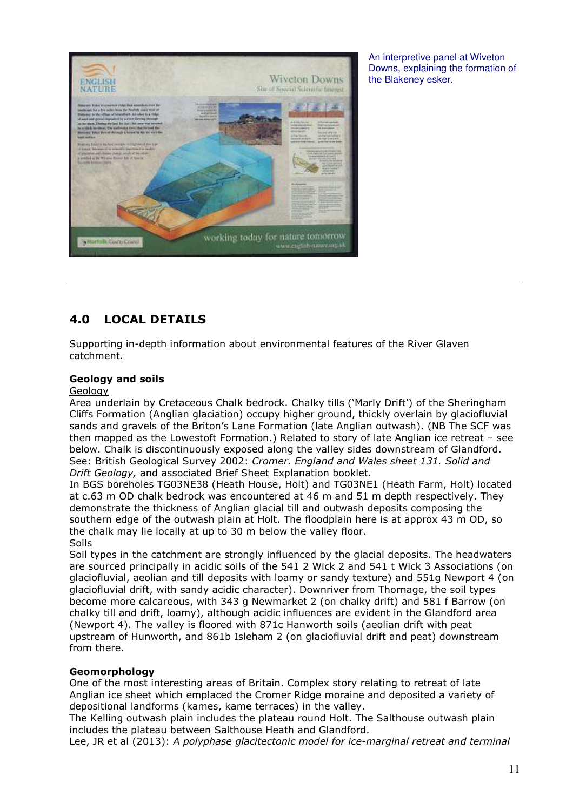

An interpretive panel at Wiveton Downs, explaining the formation of the Blakeney esker.

## 4.0 LOCAL DETAILS

Supporting in-depth information about environmental features of the River Glaven catchment.

#### Geology and soils

#### Geology

Area underlain by Cretaceous Chalk bedrock. Chalky tills ('Marly Drift') of the Sheringham Cliffs Formation (Anglian glaciation) occupy higher ground, thickly overlain by glaciofluvial sands and gravels of the Briton's Lane Formation (late Anglian outwash). (NB The SCF was then mapped as the Lowestoft Formation.) Related to story of late Anglian ice retreat – see below. Chalk is discontinuously exposed along the valley sides downstream of Glandford. See: British Geological Survey 2002: Cromer. England and Wales sheet 131. Solid and Drift Geology, and associated Brief Sheet Explanation booklet.

In BGS boreholes TG03NE38 (Heath House, Holt) and TG03NE1 (Heath Farm, Holt) located at c.63 m OD chalk bedrock was encountered at 46 m and 51 m depth respectively. They demonstrate the thickness of Anglian glacial till and outwash deposits composing the southern edge of the outwash plain at Holt. The floodplain here is at approx 43 m OD, so the chalk may lie locally at up to 30 m below the valley floor. Soils

Soil types in the catchment are strongly influenced by the glacial deposits. The headwaters are sourced principally in acidic soils of the 541 2 Wick 2 and 541 t Wick 3 Associations (on glaciofluvial, aeolian and till deposits with loamy or sandy texture) and 551g Newport 4 (on glaciofluvial drift, with sandy acidic character). Downriver from Thornage, the soil types become more calcareous, with 343 g Newmarket 2 (on chalky drift) and 581 f Barrow (on chalky till and drift, loamy), although acidic influences are evident in the Glandford area (Newport 4). The valley is floored with 871c Hanworth soils (aeolian drift with peat upstream of Hunworth, and 861b Isleham 2 (on glaciofluvial drift and peat) downstream from there.

#### Geomorphology

One of the most interesting areas of Britain. Complex story relating to retreat of late Anglian ice sheet which emplaced the Cromer Ridge moraine and deposited a variety of depositional landforms (kames, kame terraces) in the valley.

The Kelling outwash plain includes the plateau round Holt. The Salthouse outwash plain includes the plateau between Salthouse Heath and Glandford.

Lee, JR et al (2013): A polyphase glacitectonic model for ice-marginal retreat and terminal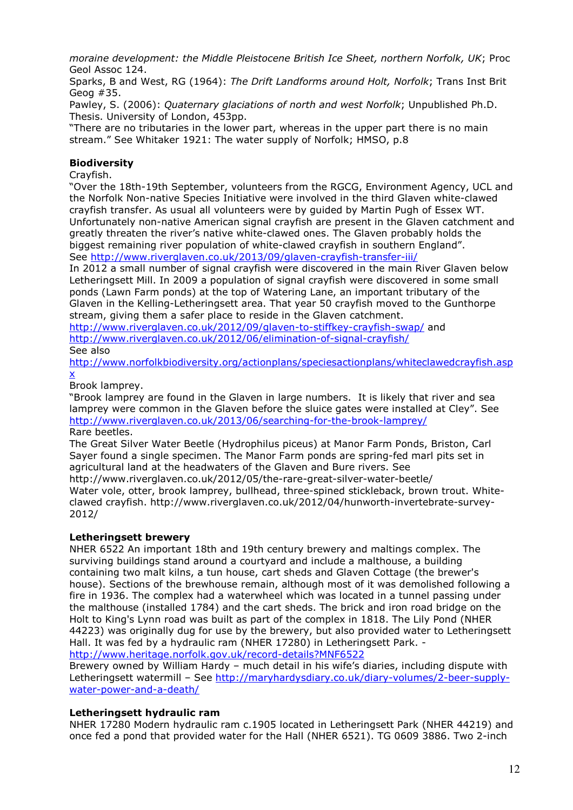moraine development: the Middle Pleistocene British Ice Sheet, northern Norfolk, UK; Proc Geol Assoc 124.

Sparks, B and West, RG (1964): The Drift Landforms around Holt, Norfolk; Trans Inst Brit Geog #35.

Pawley, S. (2006): *Quaternary glaciations of north and west Norfolk*; Unpublished Ph.D. Thesis. University of London, 453pp.

"There are no tributaries in the lower part, whereas in the upper part there is no main stream." See Whitaker 1921: The water supply of Norfolk; HMSO, p.8

## Biodiversity

Crayfish.

"Over the 18th-19th September, volunteers from the RGCG, Environment Agency, UCL and the Norfolk Non-native Species Initiative were involved in the third Glaven white-clawed crayfish transfer. As usual all volunteers were by guided by Martin Pugh of Essex WT. Unfortunately non-native American signal crayfish are present in the Glaven catchment and greatly threaten the river's native white-clawed ones. The Glaven probably holds the biggest remaining river population of white-clawed crayfish in southern England". See http://www.riverglaven.co.uk/2013/09/glaven-crayfish-transfer-iii/

In 2012 a small number of signal crayfish were discovered in the main River Glaven below Letheringsett Mill. In 2009 a population of signal crayfish were discovered in some small ponds (Lawn Farm ponds) at the top of Watering Lane, an important tributary of the Glaven in the Kelling-Letheringsett area. That year 50 crayfish moved to the Gunthorpe stream, giving them a safer place to reside in the Glaven catchment.

http://www.riverglaven.co.uk/2012/09/glaven-to-stiffkey-crayfish-swap/ and http://www.riverglaven.co.uk/2012/06/elimination-of-signal-crayfish/

See also

http://www.norfolkbiodiversity.org/actionplans/speciesactionplans/whiteclawedcrayfish.asp x

Brook lamprey.

"Brook lamprey are found in the Glaven in large numbers. It is likely that river and sea lamprey were common in the Glaven before the sluice gates were installed at Cley". See http://www.riverglaven.co.uk/2013/06/searching-for-the-brook-lamprey/ Rare beetles.

The Great Silver Water Beetle (Hydrophilus piceus) at Manor Farm Ponds, Briston, Carl Sayer found a single specimen. The Manor Farm ponds are spring-fed marl pits set in agricultural land at the headwaters of the Glaven and Bure rivers. See http://www.riverglaven.co.uk/2012/05/the-rare-great-silver-water-beetle/ Water vole, otter, brook lamprey, bullhead, three-spined stickleback, brown trout. Whiteclawed crayfish. http://www.riverglaven.co.uk/2012/04/hunworth-invertebrate-survey-2012/

## Letheringsett brewery

NHER 6522 An important 18th and 19th century brewery and maltings complex. The surviving buildings stand around a courtyard and include a malthouse, a building containing two malt kilns, a tun house, cart sheds and Glaven Cottage (the brewer's house). Sections of the brewhouse remain, although most of it was demolished following a fire in 1936. The complex had a waterwheel which was located in a tunnel passing under the malthouse (installed 1784) and the cart sheds. The brick and iron road bridge on the Holt to King's Lynn road was built as part of the complex in 1818. The Lily Pond (NHER 44223) was originally dug for use by the brewery, but also provided water to Letheringsett Hall. It was fed by a hydraulic ram (NHER 17280) in Letheringsett Park. http://www.heritage.norfolk.gov.uk/record-details?MNF6522

Brewery owned by William Hardy – much detail in his wife's diaries, including dispute with Letheringsett watermill – See http://maryhardysdiary.co.uk/diary-volumes/2-beer-supplywater-power-and-a-death/

## Letheringsett hydraulic ram

NHER 17280 Modern hydraulic ram c.1905 located in Letheringsett Park (NHER 44219) and once fed a pond that provided water for the Hall (NHER 6521). TG 0609 3886. Two 2-inch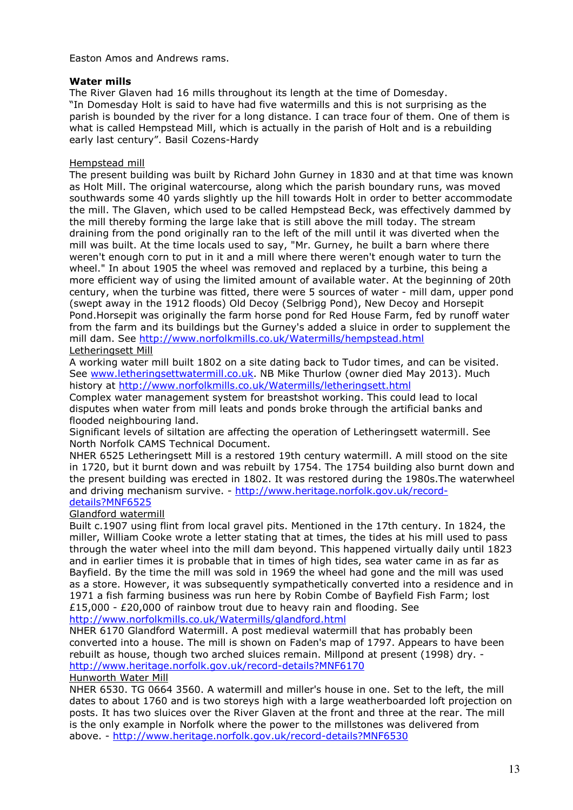Easton Amos and Andrews rams.

## Water mills

The River Glaven had 16 mills throughout its length at the time of Domesday. "In Domesday Holt is said to have had five watermills and this is not surprising as the parish is bounded by the river for a long distance. I can trace four of them. One of them is what is called Hempstead Mill, which is actually in the parish of Holt and is a rebuilding early last century". Basil Cozens-Hardy

### Hempstead mill

The present building was built by Richard John Gurney in 1830 and at that time was known as Holt Mill. The original watercourse, along which the parish boundary runs, was moved southwards some 40 yards slightly up the hill towards Holt in order to better accommodate the mill. The Glaven, which used to be called Hempstead Beck, was effectively dammed by the mill thereby forming the large lake that is still above the mill today. The stream draining from the pond originally ran to the left of the mill until it was diverted when the mill was built. At the time locals used to say, "Mr. Gurney, he built a barn where there weren't enough corn to put in it and a mill where there weren't enough water to turn the wheel." In about 1905 the wheel was removed and replaced by a turbine, this being a more efficient way of using the limited amount of available water. At the beginning of 20th century, when the turbine was fitted, there were 5 sources of water - mill dam, upper pond (swept away in the 1912 floods) Old Decoy (Selbrigg Pond), New Decoy and Horsepit Pond.Horsepit was originally the farm horse pond for Red House Farm, fed by runoff water from the farm and its buildings but the Gurney's added a sluice in order to supplement the mill dam. See http://www.norfolkmills.co.uk/Watermills/hempstead.html Letheringsett Mill

A working water mill built 1802 on a site dating back to Tudor times, and can be visited. See www.letheringsettwatermill.co.uk. NB Mike Thurlow (owner died May 2013). Much history at http://www.norfolkmills.co.uk/Watermills/letheringsett.html

Complex water management system for breastshot working. This could lead to local disputes when water from mill leats and ponds broke through the artificial banks and flooded neighbouring land.

Significant levels of siltation are affecting the operation of Letheringsett watermill. See North Norfolk CAMS Technical Document.

NHER 6525 Letheringsett Mill is a restored 19th century watermill. A mill stood on the site in 1720, but it burnt down and was rebuilt by 1754. The 1754 building also burnt down and the present building was erected in 1802. It was restored during the 1980s.The waterwheel and driving mechanism survive. - http://www.heritage.norfolk.gov.uk/recorddetails?MNF6525

## Glandford watermill

Built c.1907 using flint from local gravel pits. Mentioned in the 17th century. In 1824, the miller, William Cooke wrote a letter stating that at times, the tides at his mill used to pass through the water wheel into the mill dam beyond. This happened virtually daily until 1823 and in earlier times it is probable that in times of high tides, sea water came in as far as Bayfield. By the time the mill was sold in 1969 the wheel had gone and the mill was used as a store. However, it was subsequently sympathetically converted into a residence and in 1971 a fish farming business was run here by Robin Combe of Bayfield Fish Farm; lost £15,000 - £20,000 of rainbow trout due to heavy rain and flooding. See http://www.norfolkmills.co.uk/Watermills/glandford.html

NHER 6170 Glandford Watermill. A post medieval watermill that has probably been converted into a house. The mill is shown on Faden's map of 1797. Appears to have been rebuilt as house, though two arched sluices remain. Millpond at present (1998) dry. http://www.heritage.norfolk.gov.uk/record-details?MNF6170

#### Hunworth Water Mill

NHER 6530. TG 0664 3560. A watermill and miller's house in one. Set to the left, the mill dates to about 1760 and is two storeys high with a large weatherboarded loft projection on posts. It has two sluices over the River Glaven at the front and three at the rear. The mill is the only example in Norfolk where the power to the millstones was delivered from above. - http://www.heritage.norfolk.gov.uk/record-details?MNF6530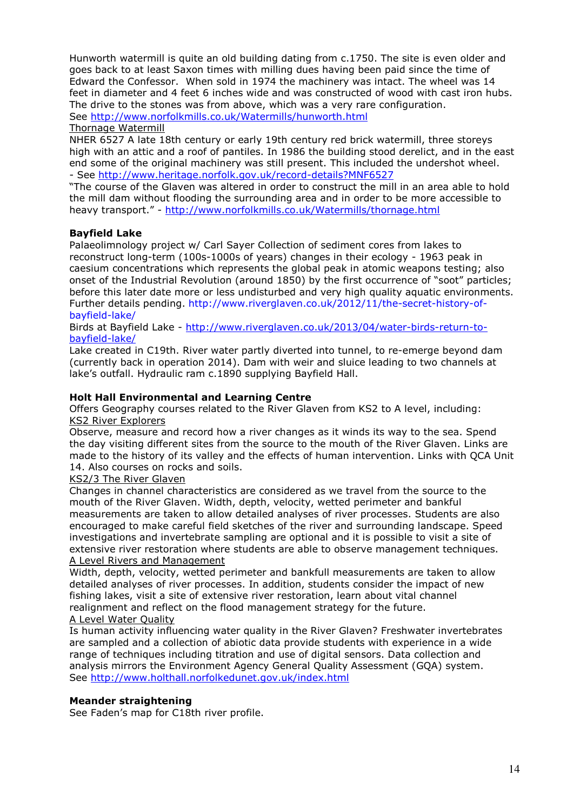Hunworth watermill is quite an old building dating from c.1750. The site is even older and goes back to at least Saxon times with milling dues having been paid since the time of Edward the Confessor. When sold in 1974 the machinery was intact. The wheel was 14 feet in diameter and 4 feet 6 inches wide and was constructed of wood with cast iron hubs. The drive to the stones was from above, which was a very rare configuration. See http://www.norfolkmills.co.uk/Watermills/hunworth.html

#### Thornage Watermill

NHER 6527 A late 18th century or early 19th century red brick watermill, three storeys high with an attic and a roof of pantiles. In 1986 the building stood derelict, and in the east end some of the original machinery was still present. This included the undershot wheel. - See http://www.heritage.norfolk.gov.uk/record-details?MNF6527

"The course of the Glaven was altered in order to construct the mill in an area able to hold the mill dam without flooding the surrounding area and in order to be more accessible to heavy transport." - http://www.norfolkmills.co.uk/Watermills/thornage.html

#### Bayfield Lake

Palaeolimnology project w/ Carl Sayer Collection of sediment cores from lakes to reconstruct long-term (100s-1000s of years) changes in their ecology - 1963 peak in caesium concentrations which represents the global peak in atomic weapons testing; also onset of the Industrial Revolution (around 1850) by the first occurrence of "soot" particles; before this later date more or less undisturbed and very high quality aquatic environments. Further details pending. http://www.riverglaven.co.uk/2012/11/the-secret-history-ofbayfield-lake/

Birds at Bayfield Lake - http://www.riverglaven.co.uk/2013/04/water-birds-return-tobayfield-lake/

Lake created in C19th. River water partly diverted into tunnel, to re-emerge beyond dam (currently back in operation 2014). Dam with weir and sluice leading to two channels at lake's outfall. Hydraulic ram c.1890 supplying Bayfield Hall.

#### Holt Hall Environmental and Learning Centre

Offers Geography courses related to the River Glaven from KS2 to A level, including: KS2 River Explorers

Observe, measure and record how a river changes as it winds its way to the sea. Spend the day visiting different sites from the source to the mouth of the River Glaven. Links are made to the history of its valley and the effects of human intervention. Links with QCA Unit 14. Also courses on rocks and soils.

#### KS2/3 The River Glaven

Changes in channel characteristics are considered as we travel from the source to the mouth of the River Glaven. Width, depth, velocity, wetted perimeter and bankful measurements are taken to allow detailed analyses of river processes. Students are also encouraged to make careful field sketches of the river and surrounding landscape. Speed investigations and invertebrate sampling are optional and it is possible to visit a site of extensive river restoration where students are able to observe management techniques. A Level Rivers and Management

Width, depth, velocity, wetted perimeter and bankfull measurements are taken to allow detailed analyses of river processes. In addition, students consider the impact of new fishing lakes, visit a site of extensive river restoration, learn about vital channel realignment and reflect on the flood management strategy for the future.

#### A Level Water Quality

Is human activity influencing water quality in the River Glaven? Freshwater invertebrates are sampled and a collection of abiotic data provide students with experience in a wide range of techniques including titration and use of digital sensors. Data collection and analysis mirrors the Environment Agency General Quality Assessment (GQA) system. See http://www.holthall.norfolkedunet.gov.uk/index.html

## Meander straightening

See Faden's map for C18th river profile.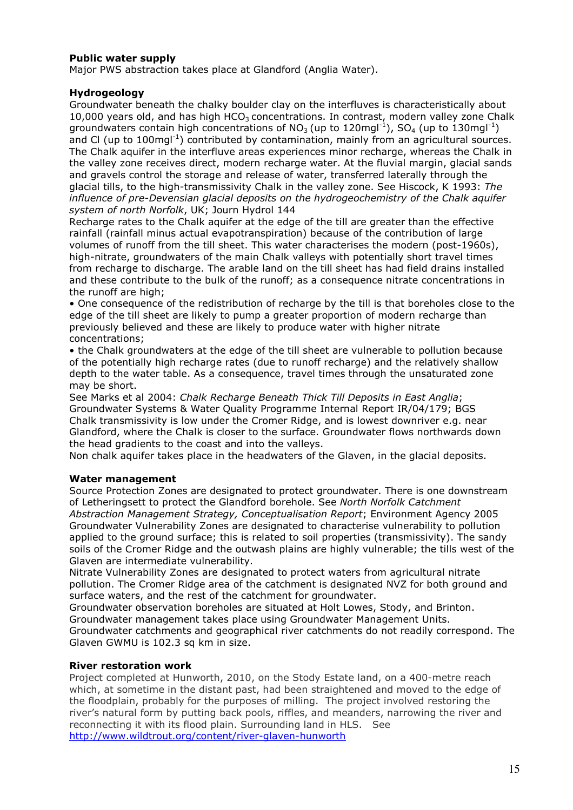## Public water supply

Major PWS abstraction takes place at Glandford (Anglia Water).

#### Hydrogeology

Groundwater beneath the chalky boulder clay on the interfluves is characteristically about 10,000 years old, and has high  $HCO<sub>3</sub>$  concentrations. In contrast, modern valley zone Chalk groundwaters contain high concentrations of  $NO<sub>3</sub>(up to 120$ mgl<sup>-1</sup>),  $SO<sub>4</sub>(up to 130$ mgl<sup>-1</sup>) and Cl (up to  $100$ mgl<sup>-1</sup>) contributed by contamination, mainly from an agricultural sources. The Chalk aquifer in the interfluve areas experiences minor recharge, whereas the Chalk in the valley zone receives direct, modern recharge water. At the fluvial margin, glacial sands and gravels control the storage and release of water, transferred laterally through the glacial tills, to the high-transmissivity Chalk in the valley zone. See Hiscock, K 1993: The influence of pre-Devensian glacial deposits on the hydrogeochemistry of the Chalk aquifer system of north Norfolk, UK; Journ Hydrol 144

Recharge rates to the Chalk aquifer at the edge of the till are greater than the effective rainfall (rainfall minus actual evapotranspiration) because of the contribution of large volumes of runoff from the till sheet. This water characterises the modern (post-1960s), high-nitrate, groundwaters of the main Chalk valleys with potentially short travel times from recharge to discharge. The arable land on the till sheet has had field drains installed and these contribute to the bulk of the runoff; as a consequence nitrate concentrations in the runoff are high;

• One consequence of the redistribution of recharge by the till is that boreholes close to the edge of the till sheet are likely to pump a greater proportion of modern recharge than previously believed and these are likely to produce water with higher nitrate concentrations;

• the Chalk groundwaters at the edge of the till sheet are vulnerable to pollution because of the potentially high recharge rates (due to runoff recharge) and the relatively shallow depth to the water table. As a consequence, travel times through the unsaturated zone may be short.

See Marks et al 2004: Chalk Recharge Beneath Thick Till Deposits in East Anglia; Groundwater Systems & Water Quality Programme Internal Report IR/04/179; BGS Chalk transmissivity is low under the Cromer Ridge, and is lowest downriver e.g. near Glandford, where the Chalk is closer to the surface. Groundwater flows northwards down the head gradients to the coast and into the valleys.

Non chalk aquifer takes place in the headwaters of the Glaven, in the glacial deposits.

#### Water management

Source Protection Zones are designated to protect groundwater. There is one downstream of Letheringsett to protect the Glandford borehole. See North Norfolk Catchment Abstraction Management Strategy, Conceptualisation Report; Environment Agency 2005 Groundwater Vulnerability Zones are designated to characterise vulnerability to pollution applied to the ground surface; this is related to soil properties (transmissivity). The sandy soils of the Cromer Ridge and the outwash plains are highly vulnerable; the tills west of the Glaven are intermediate vulnerability.

Nitrate Vulnerability Zones are designated to protect waters from agricultural nitrate pollution. The Cromer Ridge area of the catchment is designated NVZ for both ground and surface waters, and the rest of the catchment for groundwater.

Groundwater observation boreholes are situated at Holt Lowes, Stody, and Brinton. Groundwater management takes place using Groundwater Management Units.

Groundwater catchments and geographical river catchments do not readily correspond. The Glaven GWMU is 102.3 sq km in size.

#### River restoration work

Project completed at Hunworth, 2010, on the Stody Estate land, on a 400-metre reach which, at sometime in the distant past, had been straightened and moved to the edge of the floodplain, probably for the purposes of milling. The project involved restoring the river's natural form by putting back pools, riffles, and meanders, narrowing the river and reconnecting it with its flood plain. Surrounding land in HLS. See http://www.wildtrout.org/content/river-glaven-hunworth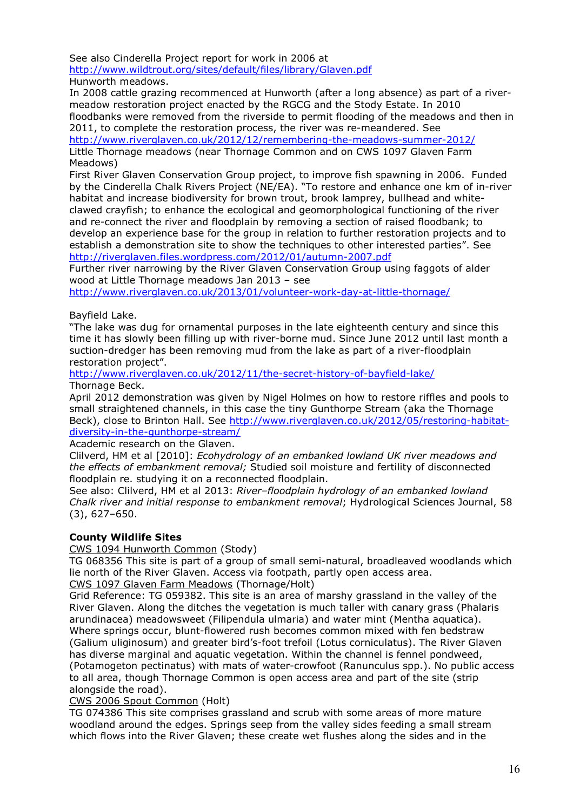See also Cinderella Project report for work in 2006 at http://www.wildtrout.org/sites/default/files/library/Glaven.pdf Hunworth meadows.

In 2008 cattle grazing recommenced at Hunworth (after a long absence) as part of a rivermeadow restoration project enacted by the RGCG and the Stody Estate. In 2010 floodbanks were removed from the riverside to permit flooding of the meadows and then in 2011, to complete the restoration process, the river was re-meandered. See

http://www.riverglaven.co.uk/2012/12/remembering-the-meadows-summer-2012/

Little Thornage meadows (near Thornage Common and on CWS 1097 Glaven Farm Meadows)

First River Glaven Conservation Group project, to improve fish spawning in 2006. Funded by the Cinderella Chalk Rivers Project (NE/EA). "To restore and enhance one km of in-river habitat and increase biodiversity for brown trout, brook lamprey, bullhead and whiteclawed crayfish; to enhance the ecological and geomorphological functioning of the river and re-connect the river and floodplain by removing a section of raised floodbank; to develop an experience base for the group in relation to further restoration projects and to establish a demonstration site to show the techniques to other interested parties". See http://riverglaven.files.wordpress.com/2012/01/autumn-2007.pdf

Further river narrowing by the River Glaven Conservation Group using faggots of alder wood at Little Thornage meadows Jan 2013 – see

http://www.riverglaven.co.uk/2013/01/volunteer-work-day-at-little-thornage/

#### Bayfield Lake.

"The lake was dug for ornamental purposes in the late eighteenth century and since this time it has slowly been filling up with river-borne mud. Since June 2012 until last month a suction-dredger has been removing mud from the lake as part of a river-floodplain restoration project".

http://www.riverglaven.co.uk/2012/11/the-secret-history-of-bayfield-lake/ Thornage Beck.

April 2012 demonstration was given by Nigel Holmes on how to restore riffles and pools to small straightened channels, in this case the tiny Gunthorpe Stream (aka the Thornage Beck), close to Brinton Hall. See http://www.riverglaven.co.uk/2012/05/restoring-habitatdiversity-in-the-gunthorpe-stream/

Academic research on the Glaven.

Clilverd, HM et al [2010]: Ecohydrology of an embanked lowland UK river meadows and the effects of embankment removal; Studied soil moisture and fertility of disconnected floodplain re. studying it on a reconnected floodplain.

See also: Clilverd, HM et al 2013: River-floodplain hydrology of an embanked lowland Chalk river and initial response to embankment removal; Hydrological Sciences Journal, 58 (3), 627–650.

#### County Wildlife Sites

CWS 1094 Hunworth Common (Stody)

TG 068356 This site is part of a group of small semi-natural, broadleaved woodlands which lie north of the River Glaven. Access via footpath, partly open access area. CWS 1097 Glaven Farm Meadows (Thornage/Holt)

Grid Reference: TG 059382. This site is an area of marshy grassland in the valley of the River Glaven. Along the ditches the vegetation is much taller with canary grass (Phalaris arundinacea) meadowsweet (Filipendula ulmaria) and water mint (Mentha aquatica). Where springs occur, blunt-flowered rush becomes common mixed with fen bedstraw (Galium uliginosum) and greater bird's-foot trefoil (Lotus corniculatus). The River Glaven has diverse marginal and aquatic vegetation. Within the channel is fennel pondweed, (Potamogeton pectinatus) with mats of water-crowfoot (Ranunculus spp.). No public access to all area, though Thornage Common is open access area and part of the site (strip alongside the road).

#### CWS 2006 Spout Common (Holt)

TG 074386 This site comprises grassland and scrub with some areas of more mature woodland around the edges. Springs seep from the valley sides feeding a small stream which flows into the River Glaven; these create wet flushes along the sides and in the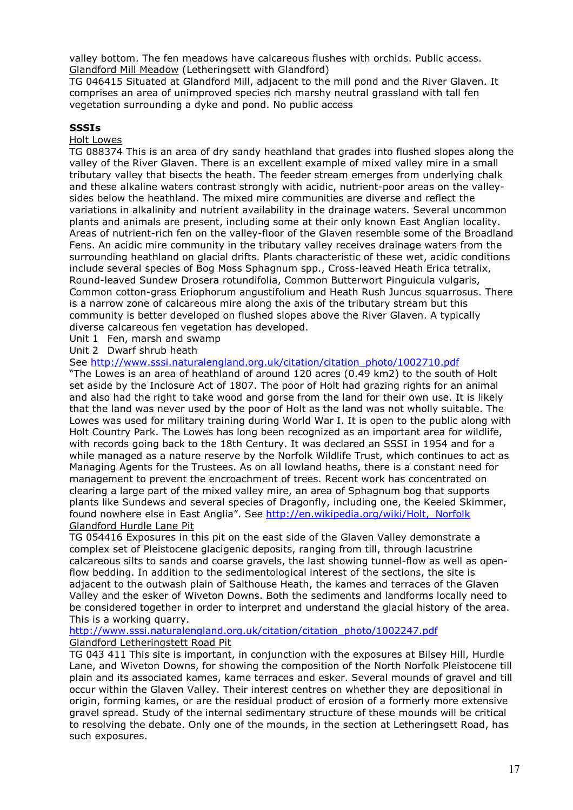valley bottom. The fen meadows have calcareous flushes with orchids. Public access. Glandford Mill Meadow (Letheringsett with Glandford)

TG 046415 Situated at Glandford Mill, adjacent to the mill pond and the River Glaven. It comprises an area of unimproved species rich marshy neutral grassland with tall fen vegetation surrounding a dyke and pond. No public access

#### SSSIs

#### Holt Lowes

TG 088374 This is an area of dry sandy heathland that grades into flushed slopes along the valley of the River Glaven. There is an excellent example of mixed valley mire in a small tributary valley that bisects the heath. The feeder stream emerges from underlying chalk and these alkaline waters contrast strongly with acidic, nutrient-poor areas on the valleysides below the heathland. The mixed mire communities are diverse and reflect the variations in alkalinity and nutrient availability in the drainage waters. Several uncommon plants and animals are present, including some at their only known East Anglian locality. Areas of nutrient-rich fen on the valley-floor of the Glaven resemble some of the Broadland Fens. An acidic mire community in the tributary valley receives drainage waters from the surrounding heathland on glacial drifts. Plants characteristic of these wet, acidic conditions include several species of Bog Moss Sphagnum spp., Cross-leaved Heath Erica tetralix, Round-leaved Sundew Drosera rotundifolia, Common Butterwort Pinguicula vulgaris, Common cotton-grass Eriophorum angustifolium and Heath Rush Juncus squarrosus. There is a narrow zone of calcareous mire along the axis of the tributary stream but this community is better developed on flushed slopes above the River Glaven. A typically diverse calcareous fen vegetation has developed.

Unit 1 Fen, marsh and swamp

Unit 2 Dwarf shrub heath

See http://www.sssi.naturalengland.org.uk/citation/citation\_photo/1002710.pdf

"The Lowes is an area of heathland of around 120 acres (0.49 km2) to the south of Holt set aside by the Inclosure Act of 1807. The poor of Holt had grazing rights for an animal and also had the right to take wood and gorse from the land for their own use. It is likely that the land was never used by the poor of Holt as the land was not wholly suitable. The Lowes was used for military training during World War I. It is open to the public along with Holt Country Park. The Lowes has long been recognized as an important area for wildlife, with records going back to the 18th Century. It was declared an SSSI in 1954 and for a while managed as a nature reserve by the Norfolk Wildlife Trust, which continues to act as Managing Agents for the Trustees. As on all lowland heaths, there is a constant need for management to prevent the encroachment of trees. Recent work has concentrated on clearing a large part of the mixed valley mire, an area of Sphagnum bog that supports plants like Sundews and several species of Dragonfly, including one, the Keeled Skimmer, found nowhere else in East Anglia". See http://en.wikipedia.org/wiki/Holt,\_Norfolk Glandford Hurdle Lane Pit

TG 054416 Exposures in this pit on the east side of the Glaven Valley demonstrate a complex set of Pleistocene glacigenic deposits, ranging from till, through lacustrine calcareous silts to sands and coarse gravels, the last showing tunnel-flow as well as openflow bedding. In addition to the sedimentological interest of the sections, the site is adjacent to the outwash plain of Salthouse Heath, the kames and terraces of the Glaven Valley and the esker of Wiveton Downs. Both the sediments and landforms locally need to be considered together in order to interpret and understand the glacial history of the area. This is a working quarry.

http://www.sssi.naturalengland.org.uk/citation/citation\_photo/1002247.pdf Glandford Letheringstett Road Pit

TG 043 411 This site is important, in conjunction with the exposures at Bilsey Hill, Hurdle Lane, and Wiveton Downs, for showing the composition of the North Norfolk Pleistocene till plain and its associated kames, kame terraces and esker. Several mounds of gravel and till occur within the Glaven Valley. Their interest centres on whether they are depositional in origin, forming kames, or are the residual product of erosion of a formerly more extensive gravel spread. Study of the internal sedimentary structure of these mounds will be critical to resolving the debate. Only one of the mounds, in the section at Letheringsett Road, has such exposures.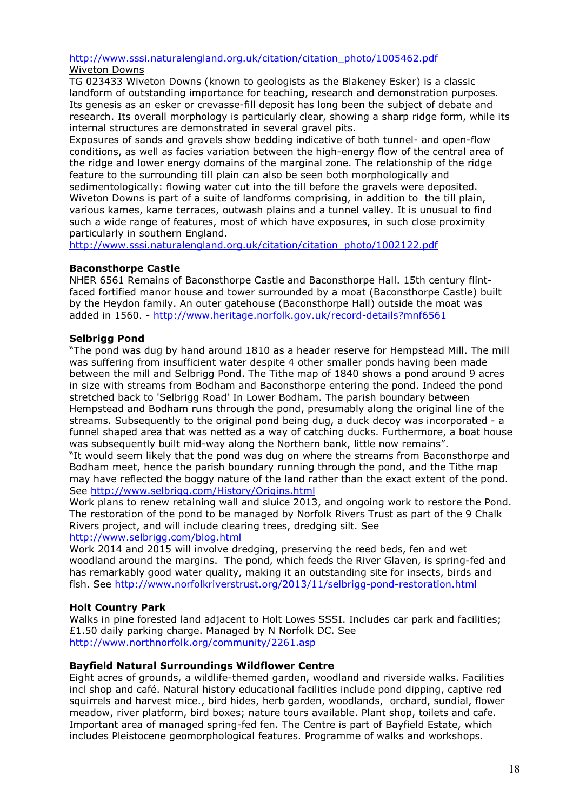# http://www.sssi.naturalengland.org.uk/citation/citation\_photo/1005462.pdf

Wiveton Downs

TG 023433 Wiveton Downs (known to geologists as the Blakeney Esker) is a classic landform of outstanding importance for teaching, research and demonstration purposes. Its genesis as an esker or crevasse-fill deposit has long been the subject of debate and research. Its overall morphology is particularly clear, showing a sharp ridge form, while its internal structures are demonstrated in several gravel pits.

Exposures of sands and gravels show bedding indicative of both tunnel- and open-flow conditions, as well as facies variation between the high-energy flow of the central area of the ridge and lower energy domains of the marginal zone. The relationship of the ridge feature to the surrounding till plain can also be seen both morphologically and sedimentologically: flowing water cut into the till before the gravels were deposited. Wiveton Downs is part of a suite of landforms comprising, in addition to the till plain, various kames, kame terraces, outwash plains and a tunnel valley. It is unusual to find such a wide range of features, most of which have exposures, in such close proximity particularly in southern England.

http://www.sssi.naturalengland.org.uk/citation/citation\_photo/1002122.pdf

## Baconsthorpe Castle

NHER 6561 Remains of Baconsthorpe Castle and Baconsthorpe Hall. 15th century flintfaced fortified manor house and tower surrounded by a moat (Baconsthorpe Castle) built by the Heydon family. An outer gatehouse (Baconsthorpe Hall) outside the moat was added in 1560. - http://www.heritage.norfolk.gov.uk/record-details?mnf6561

## Selbrigg Pond

"The pond was dug by hand around 1810 as a header reserve for Hempstead Mill. The mill was suffering from insufficient water despite 4 other smaller ponds having been made between the mill and Selbrigg Pond. The Tithe map of 1840 shows a pond around 9 acres in size with streams from Bodham and Baconsthorpe entering the pond. Indeed the pond stretched back to 'Selbrigg Road' In Lower Bodham. The parish boundary between Hempstead and Bodham runs through the pond, presumably along the original line of the streams. Subsequently to the original pond being dug, a duck decoy was incorporated - a funnel shaped area that was netted as a way of catching ducks. Furthermore, a boat house was subsequently built mid-way along the Northern bank, little now remains".

"It would seem likely that the pond was dug on where the streams from Baconsthorpe and Bodham meet, hence the parish boundary running through the pond, and the Tithe map may have reflected the boggy nature of the land rather than the exact extent of the pond. See http://www.selbrigg.com/History/Origins.html

Work plans to renew retaining wall and sluice 2013, and ongoing work to restore the Pond. The restoration of the pond to be managed by Norfolk Rivers Trust as part of the 9 Chalk Rivers project, and will include clearing trees, dredging silt. See http://www.selbrigg.com/blog.html

Work 2014 and 2015 will involve dredging, preserving the reed beds, fen and wet woodland around the margins. The pond, which feeds the River Glaven, is spring-fed and has remarkably good water quality, making it an outstanding site for insects, birds and fish. See http://www.norfolkriverstrust.org/2013/11/selbrigg-pond-restoration.html

## Holt Country Park

Walks in pine forested land adjacent to Holt Lowes SSSI. Includes car park and facilities; £1.50 daily parking charge. Managed by N Norfolk DC. See http://www.northnorfolk.org/community/2261.asp

## Bayfield Natural Surroundings Wildflower Centre

Eight acres of grounds, a wildlife-themed garden, woodland and riverside walks. Facilities incl shop and café. Natural history educational facilities include pond dipping, captive red squirrels and harvest mice., bird hides, herb garden, woodlands, orchard, sundial, flower meadow, river platform, bird boxes; nature tours available. Plant shop, toilets and cafe. Important area of managed spring-fed fen. The Centre is part of Bayfield Estate, which includes Pleistocene geomorphological features. Programme of walks and workshops.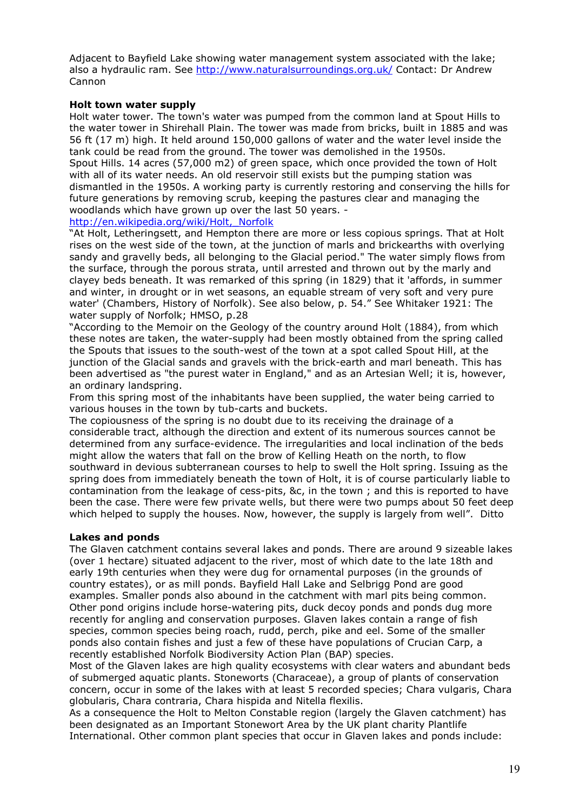Adjacent to Bayfield Lake showing water management system associated with the lake; also a hydraulic ram. See http://www.naturalsurroundings.org.uk/ Contact: Dr Andrew Cannon

#### Holt town water supply

Holt water tower. The town's water was pumped from the common land at Spout Hills to the water tower in Shirehall Plain. The tower was made from bricks, built in 1885 and was 56 ft (17 m) high. It held around 150,000 gallons of water and the water level inside the tank could be read from the ground. The tower was demolished in the 1950s. Spout Hills. 14 acres (57,000 m2) of green space, which once provided the town of Holt with all of its water needs. An old reservoir still exists but the pumping station was dismantled in the 1950s. A working party is currently restoring and conserving the hills for future generations by removing scrub, keeping the pastures clear and managing the woodlands which have grown up over the last 50 years. -

#### http://en.wikipedia.org/wiki/Holt,\_Norfolk

"At Holt, Letheringsett, and Hempton there are more or less copious springs. That at Holt rises on the west side of the town, at the junction of marls and brickearths with overlying sandy and gravelly beds, all belonging to the Glacial period." The water simply flows from the surface, through the porous strata, until arrested and thrown out by the marly and clayey beds beneath. It was remarked of this spring (in 1829) that it 'affords, in summer and winter, in drought or in wet seasons, an equable stream of very soft and very pure water' (Chambers, History of Norfolk). See also below, p. 54." See Whitaker 1921: The water supply of Norfolk; HMSO, p.28

"According to the Memoir on the Geology of the country around Holt (1884), from which these notes are taken, the water-supply had been mostly obtained from the spring called the Spouts that issues to the south-west of the town at a spot called Spout Hill, at the junction of the Glacial sands and gravels with the brick-earth and marl beneath. This has been advertised as "the purest water in England," and as an Artesian Well; it is, however, an ordinary landspring.

From this spring most of the inhabitants have been supplied, the water being carried to various houses in the town by tub-carts and buckets.

The copiousness of the spring is no doubt due to its receiving the drainage of a considerable tract, although the direction and extent of its numerous sources cannot be determined from any surface-evidence. The irregularities and local inclination of the beds might allow the waters that fall on the brow of Kelling Heath on the north, to flow southward in devious subterranean courses to help to swell the Holt spring. Issuing as the spring does from immediately beneath the town of Holt, it is of course particularly liable to contamination from the leakage of cess-pits, &c, in the town ; and this is reported to have been the case. There were few private wells, but there were two pumps about 50 feet deep which helped to supply the houses. Now, however, the supply is largely from well". Ditto

## Lakes and ponds

The Glaven catchment contains several lakes and ponds. There are around 9 sizeable lakes (over 1 hectare) situated adjacent to the river, most of which date to the late 18th and early 19th centuries when they were dug for ornamental purposes (in the grounds of country estates), or as mill ponds. Bayfield Hall Lake and Selbrigg Pond are good examples. Smaller ponds also abound in the catchment with marl pits being common. Other pond origins include horse-watering pits, duck decoy ponds and ponds dug more recently for angling and conservation purposes. Glaven lakes contain a range of fish species, common species being roach, rudd, perch, pike and eel. Some of the smaller ponds also contain fishes and just a few of these have populations of Crucian Carp, a recently established Norfolk Biodiversity Action Plan (BAP) species.

Most of the Glaven lakes are high quality ecosystems with clear waters and abundant beds of submerged aquatic plants. Stoneworts (Characeae), a group of plants of conservation concern, occur in some of the lakes with at least 5 recorded species; Chara vulgaris, Chara globularis, Chara contraria, Chara hispida and Nitella flexilis.

As a consequence the Holt to Melton Constable region (largely the Glaven catchment) has been designated as an Important Stonewort Area by the UK plant charity Plantlife International. Other common plant species that occur in Glaven lakes and ponds include: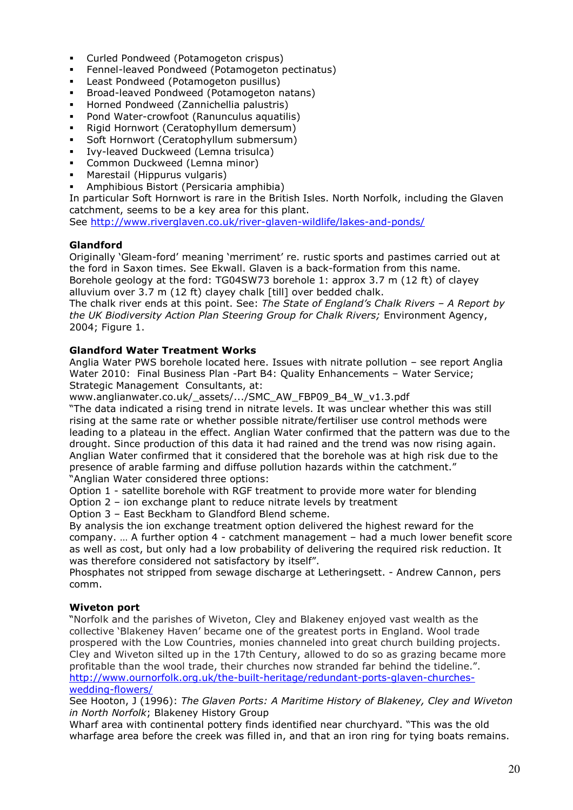- Curled Pondweed (Potamogeton crispus)
- Fennel-leaved Pondweed (Potamogeton pectinatus)
- Least Pondweed (Potamogeton pusillus)
- Broad-leaved Pondweed (Potamogeton natans)
- Horned Pondweed (Zannichellia palustris)
- Pond Water-crowfoot (Ranunculus aquatilis)
- Rigid Hornwort (Ceratophyllum demersum)
- Soft Hornwort (Ceratophyllum submersum)
- Ivy-leaved Duckweed (Lemna trisulca)
- Common Duckweed (Lemna minor)
- **Marestail (Hippurus vulgaris)**
- Amphibious Bistort (Persicaria amphibia)

In particular Soft Hornwort is rare in the British Isles. North Norfolk, including the Glaven catchment, seems to be a key area for this plant.

See http://www.riverglaven.co.uk/river-glaven-wildlife/lakes-and-ponds/

## Glandford

Originally 'Gleam-ford' meaning 'merriment' re. rustic sports and pastimes carried out at the ford in Saxon times. See Ekwall. Glaven is a back-formation from this name. Borehole geology at the ford: TG04SW73 borehole 1: approx 3.7 m (12 ft) of clayey alluvium over 3.7 m (12 ft) clayey chalk [till] over bedded chalk.

The chalk river ends at this point. See: The State of England's Chalk Rivers  $-$  A Report by the UK Biodiversity Action Plan Steering Group for Chalk Rivers; Environment Agency, 2004; Figure 1.

#### Glandford Water Treatment Works

Anglia Water PWS borehole located here. Issues with nitrate pollution – see report Anglia Water 2010: Final Business Plan -Part B4: Quality Enhancements - Water Service; Strategic Management Consultants, at:

www.anglianwater.co.uk/\_assets/.../SMC\_AW\_FBP09\_B4\_W\_v1.3.pdf

"The data indicated a rising trend in nitrate levels. It was unclear whether this was still rising at the same rate or whether possible nitrate/fertiliser use control methods were leading to a plateau in the effect. Anglian Water confirmed that the pattern was due to the drought. Since production of this data it had rained and the trend was now rising again. Anglian Water confirmed that it considered that the borehole was at high risk due to the presence of arable farming and diffuse pollution hazards within the catchment." "Anglian Water considered three options:

Option 1 - satellite borehole with RGF treatment to provide more water for blending Option 2 – ion exchange plant to reduce nitrate levels by treatment

Option 3 – East Beckham to Glandford Blend scheme.

By analysis the ion exchange treatment option delivered the highest reward for the company. … A further option 4 - catchment management – had a much lower benefit score as well as cost, but only had a low probability of delivering the required risk reduction. It was therefore considered not satisfactory by itself".

Phosphates not stripped from sewage discharge at Letheringsett. - Andrew Cannon, pers comm.

#### Wiveton port

"Norfolk and the parishes of Wiveton, Cley and Blakeney enjoyed vast wealth as the collective 'Blakeney Haven' became one of the greatest ports in England. Wool trade prospered with the Low Countries, monies channeled into great church building projects. Cley and Wiveton silted up in the 17th Century, allowed to do so as grazing became more profitable than the wool trade, their churches now stranded far behind the tideline.". http://www.ournorfolk.org.uk/the-built-heritage/redundant-ports-glaven-churcheswedding-flowers/

See Hooton, J (1996): The Glaven Ports: A Maritime History of Blakeney, Cley and Wiveton in North Norfolk; Blakeney History Group

Wharf area with continental pottery finds identified near churchyard. "This was the old wharfage area before the creek was filled in, and that an iron ring for tying boats remains.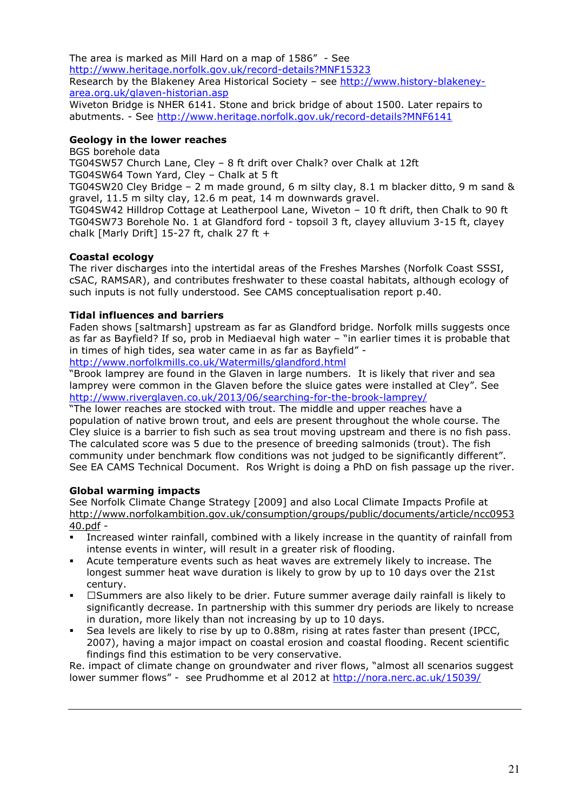The area is marked as Mill Hard on a map of 1586" - See http://www.heritage.norfolk.gov.uk/record-details?MNF15323 Research by the Blakeney Area Historical Society – see http://www.history-blakeneyarea.org.uk/glaven-historian.asp

Wiveton Bridge is NHER 6141. Stone and brick bridge of about 1500. Later repairs to abutments. - See http://www.heritage.norfolk.gov.uk/record-details?MNF6141

### Geology in the lower reaches

BGS borehole data

TG04SW57 Church Lane, Cley – 8 ft drift over Chalk? over Chalk at 12ft TG04SW64 Town Yard, Cley – Chalk at 5 ft

TG04SW20 Cley Bridge – 2 m made ground, 6 m silty clay, 8.1 m blacker ditto, 9 m sand & gravel, 11.5 m silty clay, 12.6 m peat, 14 m downwards gravel.

TG04SW42 Hilldrop Cottage at Leatherpool Lane, Wiveton – 10 ft drift, then Chalk to 90 ft TG04SW73 Borehole No. 1 at Glandford ford - topsoil 3 ft, clayey alluvium 3-15 ft, clayey chalk [Marly Drift] 15-27 ft, chalk 27 ft +

#### Coastal ecology

The river discharges into the intertidal areas of the Freshes Marshes (Norfolk Coast SSSI, cSAC, RAMSAR), and contributes freshwater to these coastal habitats, although ecology of such inputs is not fully understood. See CAMS conceptualisation report p.40.

#### Tidal influences and barriers

Faden shows [saltmarsh] upstream as far as Glandford bridge. Norfolk mills suggests once as far as Bayfield? If so, prob in Mediaeval high water – "in earlier times it is probable that in times of high tides, sea water came in as far as Bayfield" -

http://www.norfolkmills.co.uk/Watermills/glandford.html

"Brook lamprey are found in the Glaven in large numbers. It is likely that river and sea lamprey were common in the Glaven before the sluice gates were installed at Cley". See http://www.riverglaven.co.uk/2013/06/searching-for-the-brook-lamprey/

"The lower reaches are stocked with trout. The middle and upper reaches have a population of native brown trout, and eels are present throughout the whole course. The Cley sluice is a barrier to fish such as sea trout moving upstream and there is no fish pass. The calculated score was 5 due to the presence of breeding salmonids (trout). The fish community under benchmark flow conditions was not judged to be significantly different". See EA CAMS Technical Document. Ros Wright is doing a PhD on fish passage up the river.

## Global warming impacts

See Norfolk Climate Change Strategy [2009] and also Local Climate Impacts Profile at http://www.norfolkambition.gov.uk/consumption/groups/public/documents/article/ncc0953 40.pdf -

- Increased winter rainfall, combined with a likely increase in the quantity of rainfall from intense events in winter, will result in a greater risk of flooding.
- Acute temperature events such as heat waves are extremely likely to increase. The longest summer heat wave duration is likely to grow by up to 10 days over the 21st century.
- I Z Summers are also likely to be drier. Future summer average daily rainfall is likely to significantly decrease. In partnership with this summer dry periods are likely to ncrease in duration, more likely than not increasing by up to 10 days.
- Sea levels are likely to rise by up to 0.88m, rising at rates faster than present (IPCC, 2007), having a major impact on coastal erosion and coastal flooding. Recent scientific findings find this estimation to be very conservative.

Re. impact of climate change on groundwater and river flows, "almost all scenarios suggest lower summer flows" - see Prudhomme et al 2012 at http://nora.nerc.ac.uk/15039/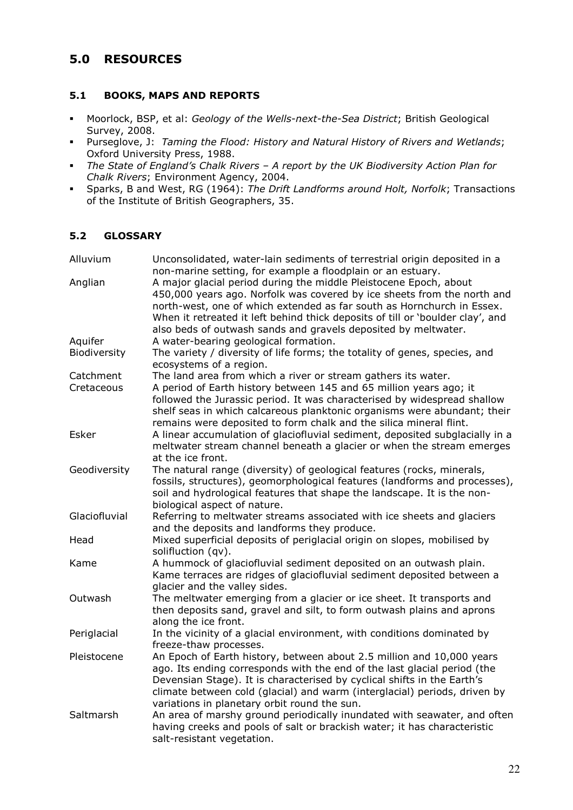## 5.0 RESOURCES

## 5.1 BOOKS, MAPS AND REPORTS

- **Moorlock, BSP, et al: Geology of the Wells-next-the-Sea District; British Geological** Survey, 2008.
- **Purseglove, J: Taming the Flood: History and Natural History of Rivers and Wetlands;** Oxford University Press, 1988.
- The State of England's Chalk Rivers A report by the UK Biodiversity Action Plan for Chalk Rivers; Environment Agency, 2004.
- Sparks, B and West, RG (1964): The Drift Landforms around Holt, Norfolk; Transactions of the Institute of British Geographers, 35.

#### 5.2 GLOSSARY

| Alluvium                | Unconsolidated, water-lain sediments of terrestrial origin deposited in a<br>non-marine setting, for example a floodplain or an estuary.                                                                                                                                                                                                                                                     |
|-------------------------|----------------------------------------------------------------------------------------------------------------------------------------------------------------------------------------------------------------------------------------------------------------------------------------------------------------------------------------------------------------------------------------------|
| Anglian                 | A major glacial period during the middle Pleistocene Epoch, about<br>450,000 years ago. Norfolk was covered by ice sheets from the north and<br>north-west, one of which extended as far south as Hornchurch in Essex.<br>When it retreated it left behind thick deposits of till or 'boulder clay', and<br>also beds of outwash sands and gravels deposited by meltwater.                   |
| Aquifer<br>Biodiversity | A water-bearing geological formation.<br>The variety / diversity of life forms; the totality of genes, species, and                                                                                                                                                                                                                                                                          |
| Catchment<br>Cretaceous | ecosystems of a region.<br>The land area from which a river or stream gathers its water.<br>A period of Earth history between 145 and 65 million years ago; it<br>followed the Jurassic period. It was characterised by widespread shallow<br>shelf seas in which calcareous planktonic organisms were abundant; their<br>remains were deposited to form chalk and the silica mineral flint. |
| Esker                   | A linear accumulation of glaciofluvial sediment, deposited subglacially in a<br>meltwater stream channel beneath a glacier or when the stream emerges<br>at the ice front.                                                                                                                                                                                                                   |
| Geodiversity            | The natural range (diversity) of geological features (rocks, minerals,<br>fossils, structures), geomorphological features (landforms and processes),<br>soil and hydrological features that shape the landscape. It is the non-<br>biological aspect of nature.                                                                                                                              |
| Glaciofluvial           | Referring to meltwater streams associated with ice sheets and glaciers<br>and the deposits and landforms they produce.                                                                                                                                                                                                                                                                       |
| Head                    | Mixed superficial deposits of periglacial origin on slopes, mobilised by<br>solifluction (qv).                                                                                                                                                                                                                                                                                               |
| Kame                    | A hummock of glaciofluvial sediment deposited on an outwash plain.<br>Kame terraces are ridges of glaciofluvial sediment deposited between a<br>glacier and the valley sides.                                                                                                                                                                                                                |
| Outwash                 | The meltwater emerging from a glacier or ice sheet. It transports and<br>then deposits sand, gravel and silt, to form outwash plains and aprons<br>along the ice front.                                                                                                                                                                                                                      |
| Periglacial             | In the vicinity of a glacial environment, with conditions dominated by<br>freeze-thaw processes.                                                                                                                                                                                                                                                                                             |
| Pleistocene             | An Epoch of Earth history, between about 2.5 million and 10,000 years<br>ago. Its ending corresponds with the end of the last glacial period (the<br>Devensian Stage). It is characterised by cyclical shifts in the Earth's<br>climate between cold (glacial) and warm (interglacial) periods, driven by<br>variations in planetary orbit round the sun.                                    |
| Saltmarsh               | An area of marshy ground periodically inundated with seawater, and often<br>having creeks and pools of salt or brackish water; it has characteristic<br>salt-resistant vegetation.                                                                                                                                                                                                           |